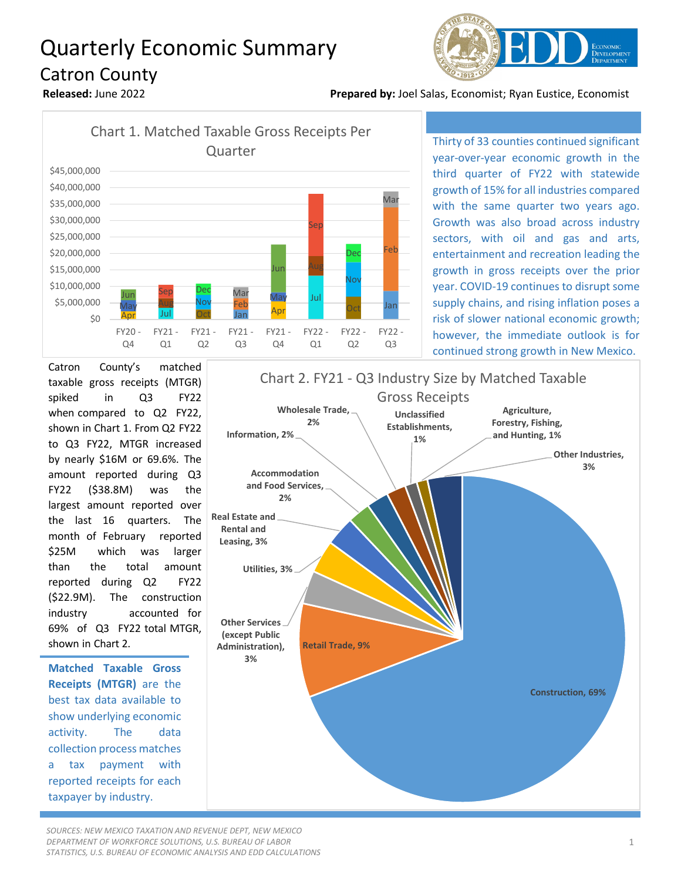## Quarterly Economic Summary Catron County



**Released:** June 2022 **Prepared by:** Joel Salas, Economist; Ryan Eustice, Economist



Thirty of 33 counties continued significant year-over-year economic growth in the third quarter of FY22 with statewide growth of 15% for all industries compared with the same quarter two years ago. Growth was also broad across industry sectors, with oil and gas and arts, entertainment and recreation leading the growth in gross receipts over the prior year. COVID-19 continues to disrupt some supply chains, and rising inflation poses a risk of slower national economic growth; however, the immediate outlook is for continued strong growth in New Mexico.

Catron County's matched taxable gross receipts (MTGR) spiked in Q3 FY22 when compared to Q2 FY22, shown in Chart 1. From Q2 FY22 to Q3 FY22, MTGR increased by nearly \$16M or 69.6%. The amount reported during Q3 FY22 (\$38.8M) was the largest amount reported over the last 16 quarters. The month of February reported \$25M which was larger than the total amount reported during Q2 FY22 (\$22.9M). The construction industry accounted for 69% of Q3 FY22 total MTGR, shown in Chart 2.

**Matched Taxable Gross Receipts (MTGR)** are the best tax data available to show underlying economic activity. The data collection process matches a tax payment with reported receipts for each taxpayer by industry.

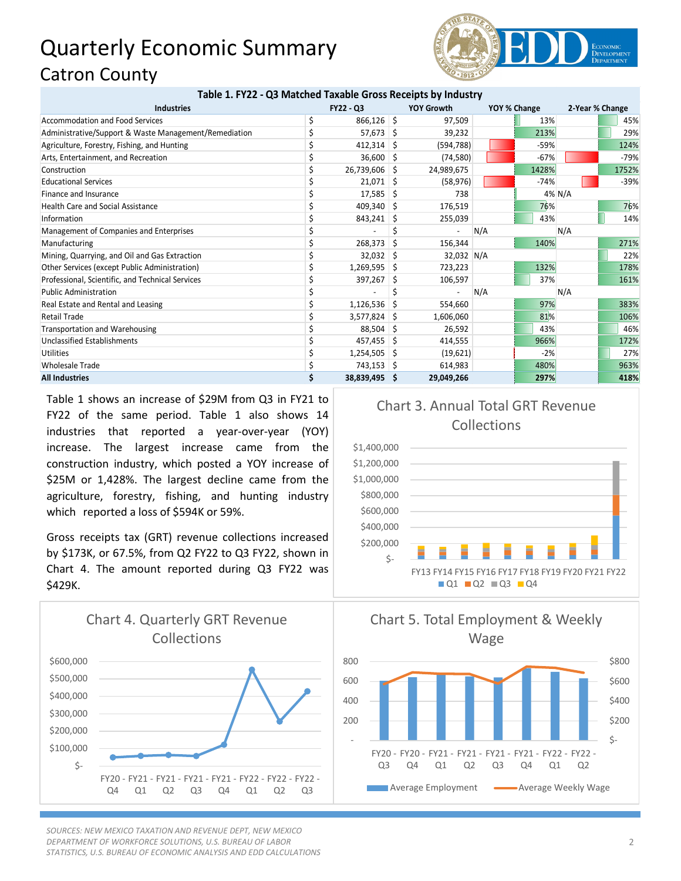## Quarterly Economic Summary Catron County



| Table 1. FY22 - Q3 Matched Taxable Gross Receipts by Industry |           |                |    |                   |              |        |                 |        |
|---------------------------------------------------------------|-----------|----------------|----|-------------------|--------------|--------|-----------------|--------|
| <b>Industries</b>                                             | FY22 - Q3 |                |    | <b>YOY Growth</b> | YOY % Change |        | 2-Year % Change |        |
| <b>Accommodation and Food Services</b>                        |           | $866,126$ \$   |    | 97,509            |              | 13%    |                 | 45%    |
| Administrative/Support & Waste Management/Remediation         |           | 57,673 \$      |    | 39,232            |              | 213%   |                 | 29%    |
| Agriculture, Forestry, Fishing, and Hunting                   |           | $412,314$ \$   |    | (594, 788)        |              | $-59%$ |                 | 124%   |
| Arts, Entertainment, and Recreation                           |           | $36,600$ \$    |    | (74, 580)         |              | $-67%$ |                 | $-79%$ |
| Construction                                                  |           | 26,739,606     | -S | 24,989,675        |              | 1428%  |                 | 1752%  |
| <b>Educational Services</b>                                   |           | $21,071$ \$    |    | (58, 976)         |              | $-74%$ |                 | $-39%$ |
| Finance and Insurance                                         |           | 17,585         | S  | 738               |              |        | 4% N/A          |        |
| <b>Health Care and Social Assistance</b>                      |           | $409,340$ \$   |    | 176,519           |              | 76%    |                 | 76%    |
| Information                                                   |           | 843,241        | S  | 255,039           |              | 43%    |                 | 14%    |
| Management of Companies and Enterprises                       |           |                |    |                   | N/A          |        | N/A             |        |
| Manufacturing                                                 |           | 268,373        | -S | 156,344           |              | 140%   |                 | 271%   |
| Mining, Quarrying, and Oil and Gas Extraction                 |           | $32,032$ \$    |    | 32,032 N/A        |              |        |                 | 22%    |
| Other Services (except Public Administration)                 |           | $1,269,595$ \$ |    | 723,223           |              | 132%   |                 | 178%   |
| Professional, Scientific, and Technical Services              |           | 397,267        | S  | 106,597           |              | 37%    |                 | 161%   |
| <b>Public Administration</b>                                  |           |                |    |                   | N/A          |        | N/A             |        |
| Real Estate and Rental and Leasing                            |           | 1,126,536      | S  | 554,660           |              | 97%    |                 | 383%   |
| <b>Retail Trade</b>                                           |           | 3,577,824      | -S | 1,606,060         |              | 81%    |                 | 106%   |
| Transportation and Warehousing                                |           | 88,504         | -S | 26,592            |              | 43%    |                 | 46%    |
| Unclassified Establishments                                   |           | $457,455$ \$   |    | 414,555           |              | 966%   |                 | 172%   |
| Utilities                                                     |           | $1,254,505$ \$ |    | (19,621)          |              | $-2%$  |                 | 27%    |
| <b>Wholesale Trade</b>                                        |           | 743,153 \$     |    | 614,983           |              | 480%   |                 | 963%   |
| <b>All Industries</b>                                         |           | 38,839,495 \$  |    | 29,049,266        |              | 297%   |                 | 418%   |

Table 1 shows an increase of \$29M from Q3 in FY21 to FY22 of the same period. Table 1 also shows 14 industries that reported a year-over-year (YOY) increase. The largest increase came from the construction industry, which posted a YOY increase of \$25M or 1,428%. The largest decline came from the agriculture, forestry, fishing, and hunting industry which reported a loss of \$594K or 59%.

Gross receipts tax (GRT) revenue collections increased by \$173K, or 67.5%, from Q2 FY22 to Q3 FY22, shown in Chart 4. The amount reported during Q3 FY22 was \$429K.



*SOURCES: NEW MEXICO TAXATION AND REVENUE DEPT, NEW MEXICO DEPARTMENT OF WORKFORCE SOLUTIONS, U.S. BUREAU OF LABOR STATISTICS, U.S. BUREAU OF ECONOMIC ANALYSIS AND EDD CALCULATIONS*